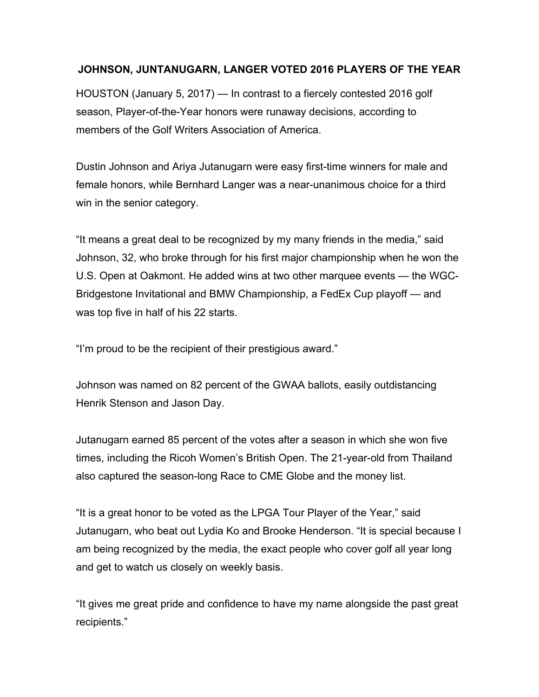## **JOHNSON, JUNTANUGARN, LANGER VOTED 2016 PLAYERS OF THE YEAR**

HOUSTON (January 5, 2017) — In contrast to a fiercely contested 2016 golf season, Player-of-the-Year honors were runaway decisions, according to members of the Golf Writers Association of America.

Dustin Johnson and Ariya Jutanugarn were easy first-time winners for male and female honors, while Bernhard Langer was a near-unanimous choice for a third win in the senior category.

"It means a great deal to be recognized by my many friends in the media," said Johnson, 32, who broke through for his first major championship when he won the U.S. Open at Oakmont. He added wins at two other marquee events — the WGC-Bridgestone Invitational and BMW Championship, a FedEx Cup playoff — and was top five in half of his 22 starts.

"I'm proud to be the recipient of their prestigious award."

Johnson was named on 82 percent of the GWAA ballots, easily outdistancing Henrik Stenson and Jason Day.

Jutanugarn earned 85 percent of the votes after a season in which she won five times, including the Ricoh Women's British Open. The 21-year-old from Thailand also captured the season-long Race to CME Globe and the money list.

"It is a great honor to be voted as the LPGA Tour Player of the Year," said Jutanugarn, who beat out Lydia Ko and Brooke Henderson. "It is special because I am being recognized by the media, the exact people who cover golf all year long and get to watch us closely on weekly basis.

"It gives me great pride and confidence to have my name alongside the past great recipients."